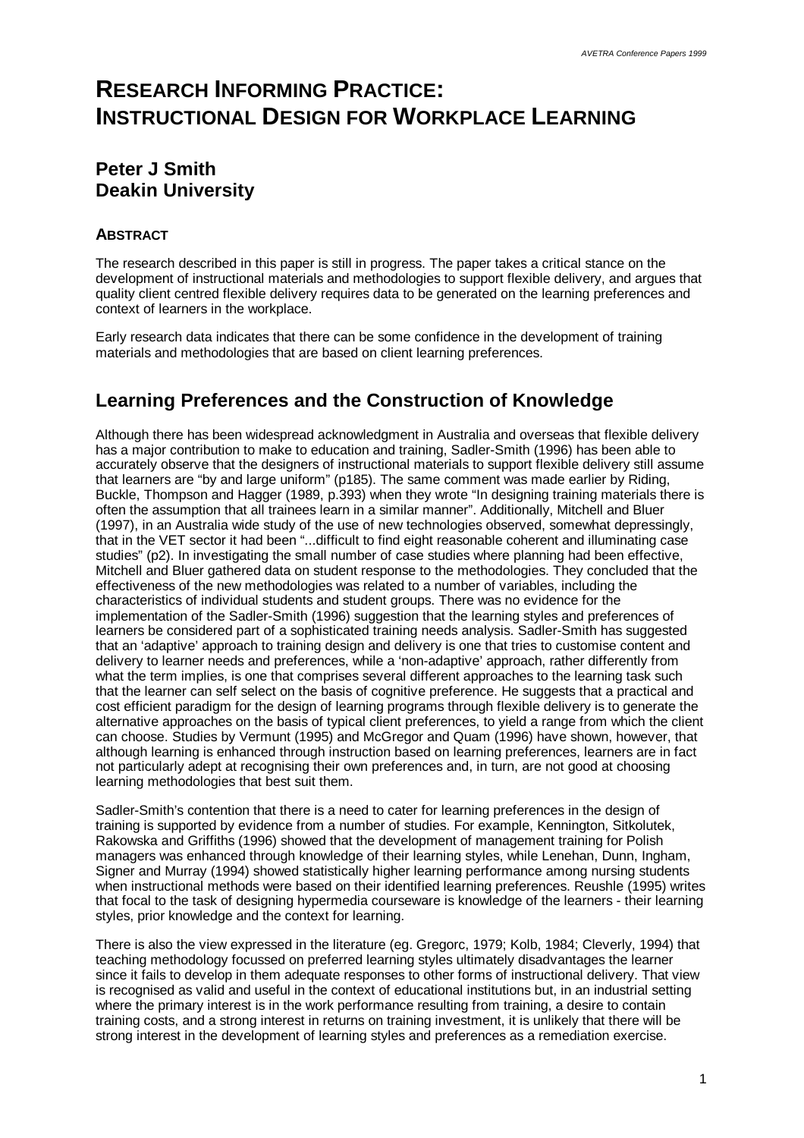# **RESEARCH INFORMING PRACTICE: INSTRUCTIONAL DESIGN FOR WORKPLACE LEARNING**

### **Peter J Smith Deakin University**

#### **ABSTRACT**

The research described in this paper is still in progress. The paper takes a critical stance on the development of instructional materials and methodologies to support flexible delivery, and argues that quality client centred flexible delivery requires data to be generated on the learning preferences and context of learners in the workplace.

Early research data indicates that there can be some confidence in the development of training materials and methodologies that are based on client learning preferences.

## **Learning Preferences and the Construction of Knowledge**

Although there has been widespread acknowledgment in Australia and overseas that flexible delivery has a major contribution to make to education and training, Sadler-Smith (1996) has been able to accurately observe that the designers of instructional materials to support flexible delivery still assume that learners are "by and large uniform" (p185). The same comment was made earlier by Riding, Buckle, Thompson and Hagger (1989, p.393) when they wrote "In designing training materials there is often the assumption that all trainees learn in a similar manner". Additionally, Mitchell and Bluer (1997), in an Australia wide study of the use of new technologies observed, somewhat depressingly, that in the VET sector it had been "...difficult to find eight reasonable coherent and illuminating case studies" (p2). In investigating the small number of case studies where planning had been effective, Mitchell and Bluer gathered data on student response to the methodologies. They concluded that the effectiveness of the new methodologies was related to a number of variables, including the characteristics of individual students and student groups. There was no evidence for the implementation of the Sadler-Smith (1996) suggestion that the learning styles and preferences of learners be considered part of a sophisticated training needs analysis. Sadler-Smith has suggested that an 'adaptive' approach to training design and delivery is one that tries to customise content and delivery to learner needs and preferences, while a 'non-adaptive' approach, rather differently from what the term implies, is one that comprises several different approaches to the learning task such that the learner can self select on the basis of cognitive preference. He suggests that a practical and cost efficient paradigm for the design of learning programs through flexible delivery is to generate the alternative approaches on the basis of typical client preferences, to yield a range from which the client can choose. Studies by Vermunt (1995) and McGregor and Quam (1996) have shown, however, that although learning is enhanced through instruction based on learning preferences, learners are in fact not particularly adept at recognising their own preferences and, in turn, are not good at choosing learning methodologies that best suit them.

Sadler-Smith's contention that there is a need to cater for learning preferences in the design of training is supported by evidence from a number of studies. For example, Kennington, Sitkolutek, Rakowska and Griffiths (1996) showed that the development of management training for Polish managers was enhanced through knowledge of their learning styles, while Lenehan, Dunn, Ingham, Signer and Murray (1994) showed statistically higher learning performance among nursing students when instructional methods were based on their identified learning preferences. Reushle (1995) writes that focal to the task of designing hypermedia courseware is knowledge of the learners - their learning styles, prior knowledge and the context for learning.

There is also the view expressed in the literature (eg. Gregorc, 1979; Kolb, 1984; Cleverly, 1994) that teaching methodology focussed on preferred learning styles ultimately disadvantages the learner since it fails to develop in them adequate responses to other forms of instructional delivery. That view is recognised as valid and useful in the context of educational institutions but, in an industrial setting where the primary interest is in the work performance resulting from training, a desire to contain training costs, and a strong interest in returns on training investment, it is unlikely that there will be strong interest in the development of learning styles and preferences as a remediation exercise.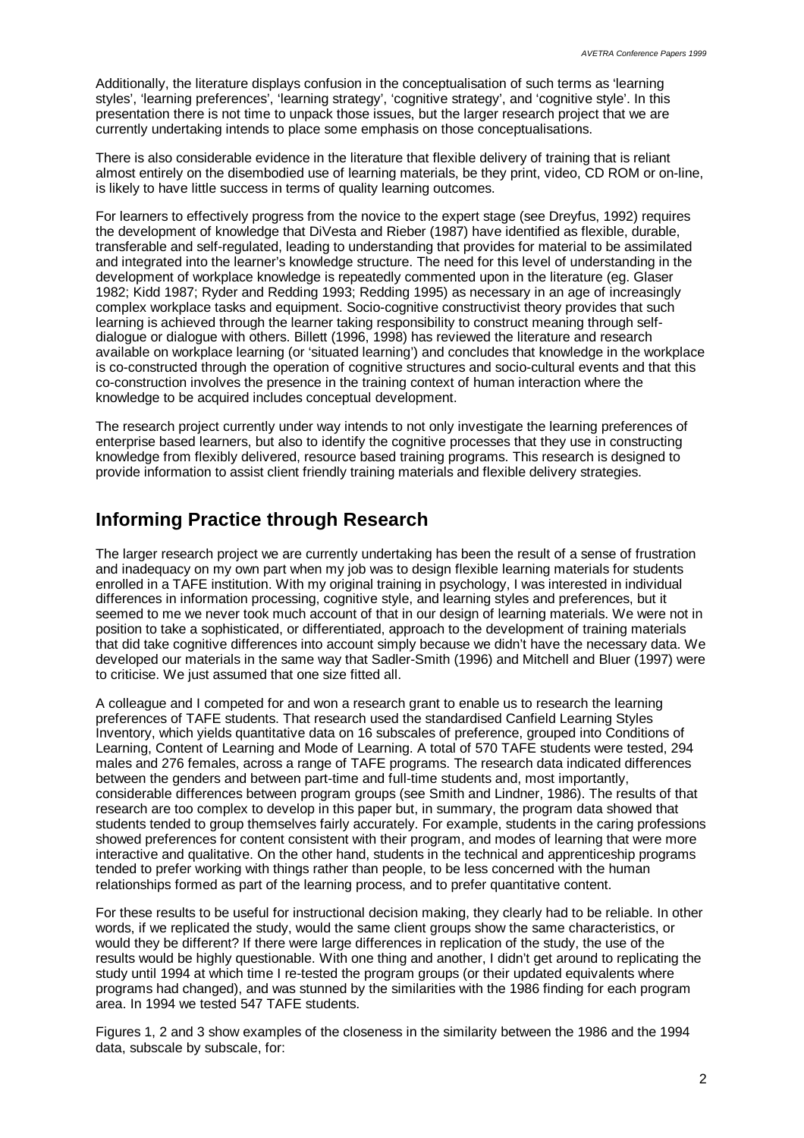Additionally, the literature displays confusion in the conceptualisation of such terms as 'learning styles', 'learning preferences', 'learning strategy', 'cognitive strategy', and 'cognitive style'. In this presentation there is not time to unpack those issues, but the larger research project that we are currently undertaking intends to place some emphasis on those conceptualisations.

There is also considerable evidence in the literature that flexible delivery of training that is reliant almost entirely on the disembodied use of learning materials, be they print, video, CD ROM or on-line, is likely to have little success in terms of quality learning outcomes.

For learners to effectively progress from the novice to the expert stage (see Dreyfus, 1992) requires the development of knowledge that DiVesta and Rieber (1987) have identified as flexible, durable, transferable and self-regulated, leading to understanding that provides for material to be assimilated and integrated into the learner's knowledge structure. The need for this level of understanding in the development of workplace knowledge is repeatedly commented upon in the literature (eg. Glaser 1982; Kidd 1987; Ryder and Redding 1993; Redding 1995) as necessary in an age of increasingly complex workplace tasks and equipment. Socio-cognitive constructivist theory provides that such learning is achieved through the learner taking responsibility to construct meaning through selfdialogue or dialogue with others. Billett (1996, 1998) has reviewed the literature and research available on workplace learning (or 'situated learning') and concludes that knowledge in the workplace is co-constructed through the operation of cognitive structures and socio-cultural events and that this co-construction involves the presence in the training context of human interaction where the knowledge to be acquired includes conceptual development.

The research project currently under way intends to not only investigate the learning preferences of enterprise based learners, but also to identify the cognitive processes that they use in constructing knowledge from flexibly delivered, resource based training programs. This research is designed to provide information to assist client friendly training materials and flexible delivery strategies.

### **Informing Practice through Research**

The larger research project we are currently undertaking has been the result of a sense of frustration and inadequacy on my own part when my job was to design flexible learning materials for students enrolled in a TAFE institution. With my original training in psychology, I was interested in individual differences in information processing, cognitive style, and learning styles and preferences, but it seemed to me we never took much account of that in our design of learning materials. We were not in position to take a sophisticated, or differentiated, approach to the development of training materials that did take cognitive differences into account simply because we didn't have the necessary data. We developed our materials in the same way that Sadler-Smith (1996) and Mitchell and Bluer (1997) were to criticise. We just assumed that one size fitted all.

A colleague and I competed for and won a research grant to enable us to research the learning preferences of TAFE students. That research used the standardised Canfield Learning Styles Inventory, which yields quantitative data on 16 subscales of preference, grouped into Conditions of Learning, Content of Learning and Mode of Learning. A total of 570 TAFE students were tested, 294 males and 276 females, across a range of TAFE programs. The research data indicated differences between the genders and between part-time and full-time students and, most importantly, considerable differences between program groups (see Smith and Lindner, 1986). The results of that research are too complex to develop in this paper but, in summary, the program data showed that students tended to group themselves fairly accurately. For example, students in the caring professions showed preferences for content consistent with their program, and modes of learning that were more interactive and qualitative. On the other hand, students in the technical and apprenticeship programs tended to prefer working with things rather than people, to be less concerned with the human relationships formed as part of the learning process, and to prefer quantitative content.

For these results to be useful for instructional decision making, they clearly had to be reliable. In other words, if we replicated the study, would the same client groups show the same characteristics, or would they be different? If there were large differences in replication of the study, the use of the results would be highly questionable. With one thing and another, I didn't get around to replicating the study until 1994 at which time I re-tested the program groups (or their updated equivalents where programs had changed), and was stunned by the similarities with the 1986 finding for each program area. In 1994 we tested 547 TAFE students.

Figures 1, 2 and 3 show examples of the closeness in the similarity between the 1986 and the 1994 data, subscale by subscale, for: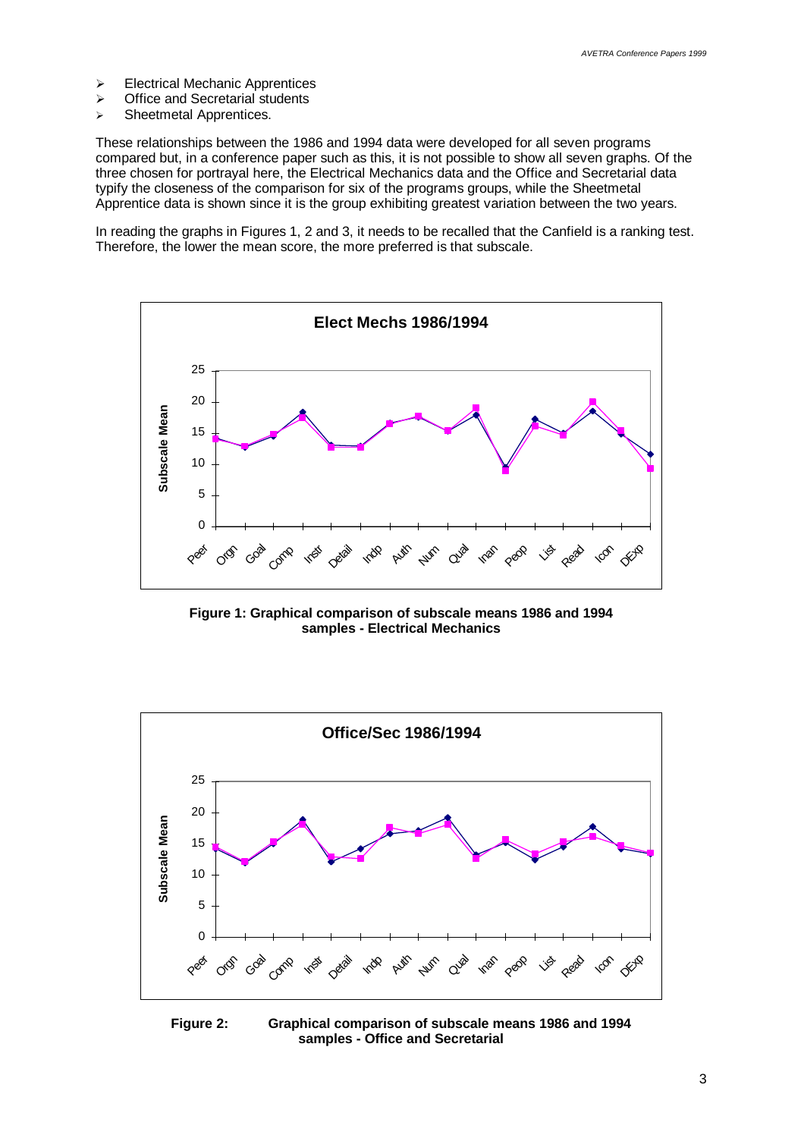- $\triangleright$  Electrical Mechanic Apprentices
- $\triangleright$  Office and Secretarial students
- > Sheetmetal Apprentices.

These relationships between the 1986 and 1994 data were developed for all seven programs compared but, in a conference paper such as this, it is not possible to show all seven graphs. Of the three chosen for portrayal here, the Electrical Mechanics data and the Office and Secretarial data typify the closeness of the comparison for six of the programs groups, while the Sheetmetal Apprentice data is shown since it is the group exhibiting greatest variation between the two years.

In reading the graphs in Figures 1, 2 and 3, it needs to be recalled that the Canfield is a ranking test. Therefore, the lower the mean score, the more preferred is that subscale.



**Figure 1: Graphical comparison of subscale means 1986 and 1994 samples - Electrical Mechanics**



**Figure 2: Graphical comparison of subscale means 1986 and 1994 samples - Office and Secretarial**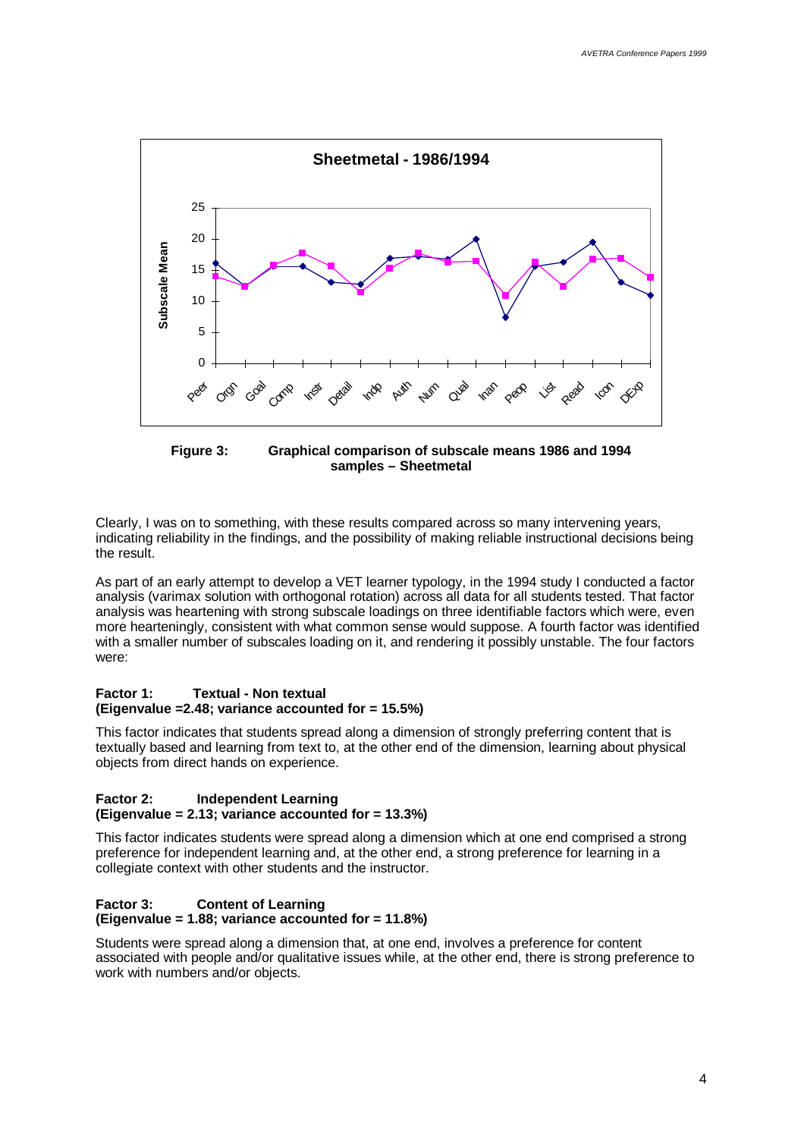

**Figure 3: Graphical comparison of subscale means 1986 and 1994 samples – Sheetmetal**

Clearly, I was on to something, with these results compared across so many intervening years, indicating reliability in the findings, and the possibility of making reliable instructional decisions being the result.

As part of an early attempt to develop a VET learner typology, in the 1994 study I conducted a factor analysis (varimax solution with orthogonal rotation) across all data for all students tested. That factor analysis was heartening with strong subscale loadings on three identifiable factors which were, even more hearteningly, consistent with what common sense would suppose. A fourth factor was identified with a smaller number of subscales loading on it, and rendering it possibly unstable. The four factors were:

#### **Factor 1: Textual - Non textual (Eigenvalue =2.48; variance accounted for = 15.5%)**

This factor indicates that students spread along a dimension of strongly preferring content that is textually based and learning from text to, at the other end of the dimension, learning about physical objects from direct hands on experience.

#### **Factor 2: Independent Learning**

#### **(Eigenvalue = 2.13; variance accounted for = 13.3%)**

This factor indicates students were spread along a dimension which at one end comprised a strong preference for independent learning and, at the other end, a strong preference for learning in a collegiate context with other students and the instructor.

#### **Factor 3: Content of Learning (Eigenvalue = 1.88; variance accounted for = 11.8%)**

Students were spread along a dimension that, at one end, involves a preference for content associated with people and/or qualitative issues while, at the other end, there is strong preference to work with numbers and/or objects.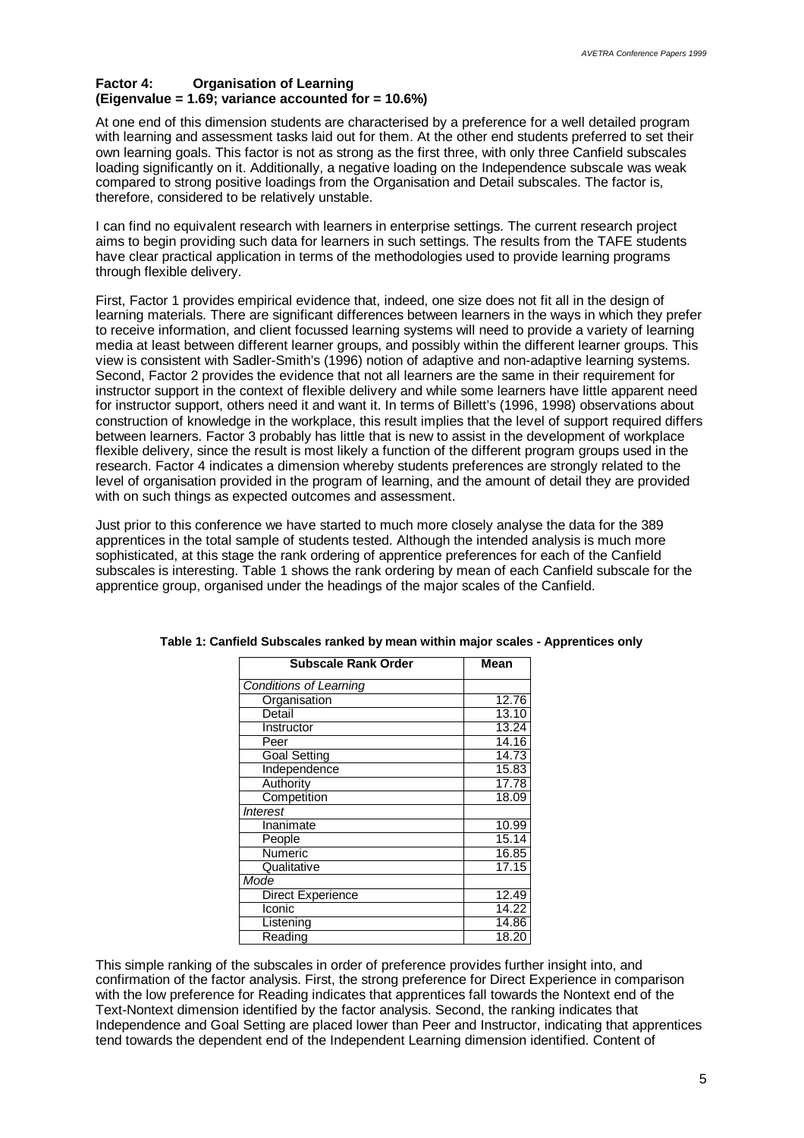#### **Factor 4: Organisation of Learning (Eigenvalue = 1.69; variance accounted for = 10.6%)**

At one end of this dimension students are characterised by a preference for a well detailed program with learning and assessment tasks laid out for them. At the other end students preferred to set their own learning goals. This factor is not as strong as the first three, with only three Canfield subscales loading significantly on it. Additionally, a negative loading on the Independence subscale was weak compared to strong positive loadings from the Organisation and Detail subscales. The factor is, therefore, considered to be relatively unstable.

I can find no equivalent research with learners in enterprise settings. The current research project aims to begin providing such data for learners in such settings. The results from the TAFE students have clear practical application in terms of the methodologies used to provide learning programs through flexible delivery.

First, Factor 1 provides empirical evidence that, indeed, one size does not fit all in the design of learning materials. There are significant differences between learners in the ways in which they prefer to receive information, and client focussed learning systems will need to provide a variety of learning media at least between different learner groups, and possibly within the different learner groups. This view is consistent with Sadler-Smith's (1996) notion of adaptive and non-adaptive learning systems. Second, Factor 2 provides the evidence that not all learners are the same in their requirement for instructor support in the context of flexible delivery and while some learners have little apparent need for instructor support, others need it and want it. In terms of Billett's (1996, 1998) observations about construction of knowledge in the workplace, this result implies that the level of support required differs between learners. Factor 3 probably has little that is new to assist in the development of workplace flexible delivery, since the result is most likely a function of the different program groups used in the research. Factor 4 indicates a dimension whereby students preferences are strongly related to the level of organisation provided in the program of learning, and the amount of detail they are provided with on such things as expected outcomes and assessment.

Just prior to this conference we have started to much more closely analyse the data for the 389 apprentices in the total sample of students tested. Although the intended analysis is much more sophisticated, at this stage the rank ordering of apprentice preferences for each of the Canfield subscales is interesting. Table 1 shows the rank ordering by mean of each Canfield subscale for the apprentice group, organised under the headings of the major scales of the Canfield.

| Subscale Rank Order           | Mean  |
|-------------------------------|-------|
| <b>Conditions of Learning</b> |       |
| Organisation                  | 12.76 |
| Detail                        | 13.10 |
| Instructor                    | 13.24 |
| Peer                          | 14.16 |
| <b>Goal Setting</b>           | 14.73 |
| Independence                  | 15.83 |
| Authority                     | 17.78 |
| Competition                   | 18.09 |
| <i><b>Interest</b></i>        |       |
| Inanimate                     | 10.99 |
| People                        | 15.14 |
| Numeric                       | 16.85 |
| Qualitative                   | 17.15 |
| Mode                          |       |
| Direct Experience             | 12.49 |
| Iconic                        | 14.22 |
| Listening                     | 14.86 |
| Reading                       | 18.20 |
|                               |       |

| Table 1: Canfield Subscales ranked by mean within major scales - Apprentices only |
|-----------------------------------------------------------------------------------|
|-----------------------------------------------------------------------------------|

This simple ranking of the subscales in order of preference provides further insight into, and confirmation of the factor analysis. First, the strong preference for Direct Experience in comparison with the low preference for Reading indicates that apprentices fall towards the Nontext end of the Text-Nontext dimension identified by the factor analysis. Second, the ranking indicates that Independence and Goal Setting are placed lower than Peer and Instructor, indicating that apprentices tend towards the dependent end of the Independent Learning dimension identified. Content of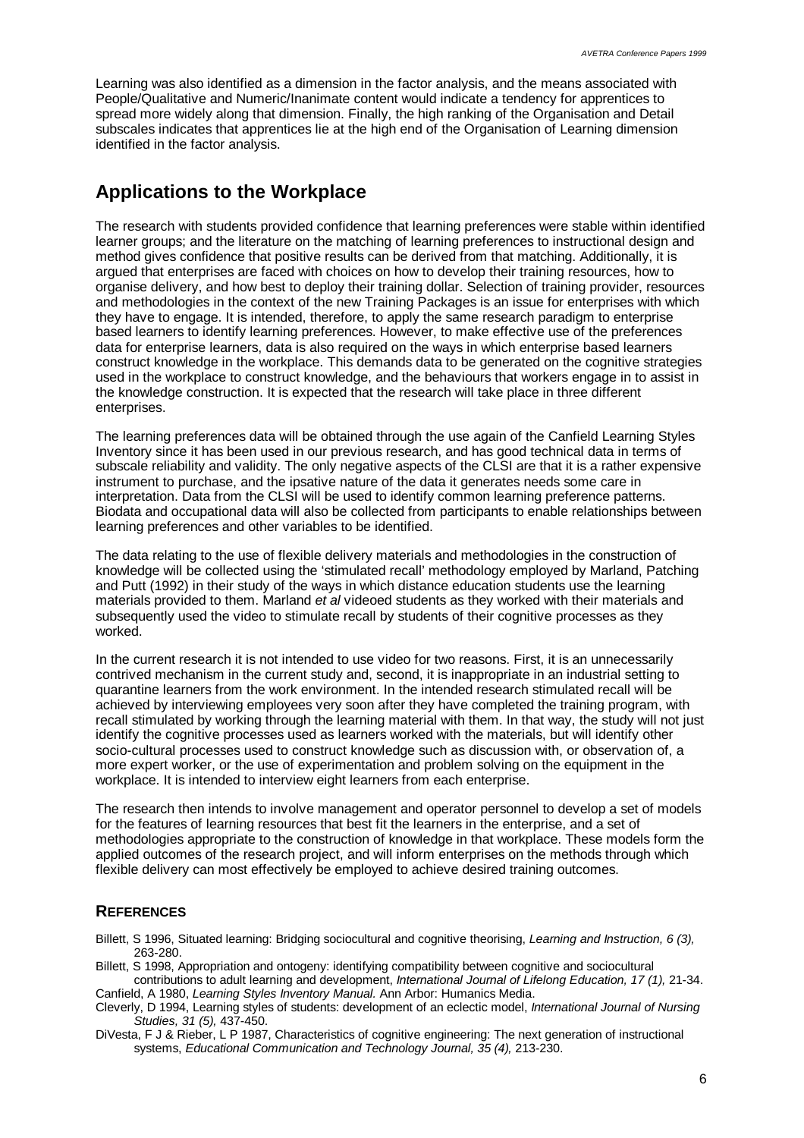Learning was also identified as a dimension in the factor analysis, and the means associated with People/Qualitative and Numeric/Inanimate content would indicate a tendency for apprentices to spread more widely along that dimension. Finally, the high ranking of the Organisation and Detail subscales indicates that apprentices lie at the high end of the Organisation of Learning dimension identified in the factor analysis.

### **Applications to the Workplace**

The research with students provided confidence that learning preferences were stable within identified learner groups; and the literature on the matching of learning preferences to instructional design and method gives confidence that positive results can be derived from that matching. Additionally, it is argued that enterprises are faced with choices on how to develop their training resources, how to organise delivery, and how best to deploy their training dollar. Selection of training provider, resources and methodologies in the context of the new Training Packages is an issue for enterprises with which they have to engage. It is intended, therefore, to apply the same research paradigm to enterprise based learners to identify learning preferences. However, to make effective use of the preferences data for enterprise learners, data is also required on the ways in which enterprise based learners construct knowledge in the workplace. This demands data to be generated on the cognitive strategies used in the workplace to construct knowledge, and the behaviours that workers engage in to assist in the knowledge construction. It is expected that the research will take place in three different enterprises.

The learning preferences data will be obtained through the use again of the Canfield Learning Styles Inventory since it has been used in our previous research, and has good technical data in terms of subscale reliability and validity. The only negative aspects of the CLSI are that it is a rather expensive instrument to purchase, and the ipsative nature of the data it generates needs some care in interpretation. Data from the CLSI will be used to identify common learning preference patterns. Biodata and occupational data will also be collected from participants to enable relationships between learning preferences and other variables to be identified.

The data relating to the use of flexible delivery materials and methodologies in the construction of knowledge will be collected using the 'stimulated recall' methodology employed by Marland, Patching and Putt (1992) in their study of the ways in which distance education students use the learning materials provided to them. Marland *et al* videoed students as they worked with their materials and subsequently used the video to stimulate recall by students of their cognitive processes as they worked.

In the current research it is not intended to use video for two reasons. First, it is an unnecessarily contrived mechanism in the current study and, second, it is inappropriate in an industrial setting to quarantine learners from the work environment. In the intended research stimulated recall will be achieved by interviewing employees very soon after they have completed the training program, with recall stimulated by working through the learning material with them. In that way, the study will not just identify the cognitive processes used as learners worked with the materials, but will identify other socio-cultural processes used to construct knowledge such as discussion with, or observation of, a more expert worker, or the use of experimentation and problem solving on the equipment in the workplace. It is intended to interview eight learners from each enterprise.

The research then intends to involve management and operator personnel to develop a set of models for the features of learning resources that best fit the learners in the enterprise, and a set of methodologies appropriate to the construction of knowledge in that workplace. These models form the applied outcomes of the research project, and will inform enterprises on the methods through which flexible delivery can most effectively be employed to achieve desired training outcomes.

#### **REFERENCES**

Billett, S 1996, Situated learning: Bridging sociocultural and cognitive theorising, *Learning and Instruction, 6 (3),* 263-280.

Billett, S 1998, Appropriation and ontogeny: identifying compatibility between cognitive and sociocultural

contributions to adult learning and development, *International Journal of Lifelong Education, 17 (1),* 21-34. Canfield, A 1980, *Learning Styles Inventory Manual.* Ann Arbor: Humanics Media.

Cleverly, D 1994, Learning styles of students: development of an eclectic model, *International Journal of Nursing Studies, 31 (5),* 437-450.

DiVesta, F J & Rieber, L P 1987, Characteristics of cognitive engineering: The next generation of instructional systems, *Educational Communication and Technology Journal, 35 (4),* 213-230.